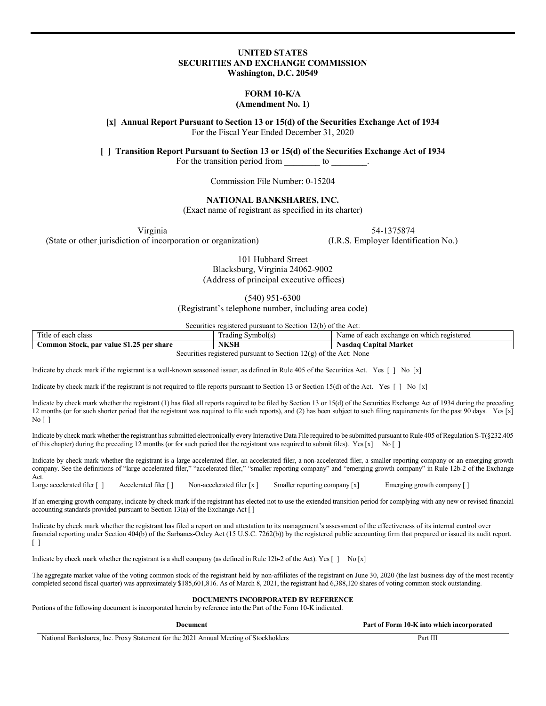# **UNITED STATES SECURITIES AND EXCHANGE COMMISSION Washington, D.C. 20549**

# **FORM 10-K/A**

## **(Amendment No. 1)**

**[x] Annual Report Pursuant to Section 13 or 15(d) of the Securities Exchange Act of 1934** For the Fiscal Year Ended December 31, 2020

**[ ] Transition Report Pursuant to Section 13 or 15(d) of the Securities Exchange Act of 1934**

For the transition period from to

Commission File Number: 0-15204

# **NATIONAL BANKSHARES, INC.**

(Exact name of registrant as specified in its charter)

Virginia (State or other jurisdiction of incorporation or organization) 54-1375874

(I.R.S. Employer Identification No.)

101 Hubbard Street Blacksburg, Virginia 24062-9002 (Address of principal executive offices)

(540) 951-6300

(Registrant's telephone number, including area code)

Securities registered pursuant to Section 12(b) of the Act:

| —<br><sub>1</sub> tle<br>each class<br>$^{\circ}$<br>v                                                              | Symbol( S<br>. radıng | on<br>registered<br>Name<br>each exchange<br>which |  |
|---------------------------------------------------------------------------------------------------------------------|-----------------------|----------------------------------------------------|--|
| m -<br>.ommon<br>Stock.<br>' share<br>. par value<br>ner<br>0.1.4                                                   | <b>NKSH</b>           | Market<br>Nasdaɑ<br>apıtal                         |  |
| $\sim$<br>$A = 1$<br>kia ammazaka alama ang antara ang ang mga magalang kia ang ang li<br>المطلبة باسما<br>$\cdots$ |                       |                                                    |  |

Securities registered pursuant to Section 12(g) of the Act: None

Indicate by check mark if the registrant is a well-known seasoned issuer, as defined in Rule 405 of the Securities Act. Yes  $\lceil \ \rceil$  No  $\lceil x \rceil$ 

Indicate by check mark if the registrant is not required to file reports pursuant to Section 13 or Section 15(d) of the Act. Yes [ ] No [x]

Indicate by check mark whether the registrant (1) has filed all reports required to be filed by Section 13 or 15(d) of the Securities Exchange Act of 1934 during the preceding 12 months (or for such shorter period that the registrant was required to file such reports), and (2) has been subject to such filing requirements for the past 90 days. Yes [x]  $Nof 1$ 

Indicate by check mark whether the registrant has submitted electronically every Interactive Data File required to be submitted pursuant to Rule 405 of Regulation S-T(§232.405 of this chapter) during the preceding 12 months (or for such period that the registrant was required to submit files). Yes [x] No [ ]

Indicate by check mark whether the registrant is a large accelerated filer, an accelerated filer, a non-accelerated filer, a smaller reporting company or an emerging growth company. See the definitions of "large accelerated filer," "accelerated filer," "smaller reporting company" and "emerging growth company" in Rule 12b-2 of the Exchange

Act.<br>Large accelerated filer [] Accelerated filer [ ] Non-accelerated filer [x ] Smaller reporting company [x] Emerging growth company [ ]

If an emerging growth company, indicate by check mark if the registrant has elected not to use the extended transition period for complying with any new or revised financial accounting standards provided pursuant to Section 13(a) of the Exchange Act [ ]

Indicate by check mark whether the registrant has filed a report on and attestation to its management's assessment of the effectiveness of its internal control over financial reporting under Section 404(b) of the Sarbanes-Oxley Act (15 U.S.C. 7262(b)) by the registered public accounting firm that prepared or issued its audit report.  $\lceil$   $\rceil$ 

Indicate by check mark whether the registrant is a shell company (as defined in Rule 12b-2 of the Act). Yes  $\begin{bmatrix} 1 \\ N_0 \end{bmatrix}$  No  $\begin{bmatrix} x \end{bmatrix}$ 

The aggregate market value of the voting common stock of the registrant held by non-affiliates of the registrant on June 30, 2020 (the last business day of the most recently completed second fiscal quarter) was approximately \$185,601,816. As of March 8, 2021, the registrant had 6,388,120 shares of voting common stock outstanding.

#### **DOCUMENTS INCORPORATED BY REFERENCE**

Portions of the following document is incorporated herein by reference into the Part of the Form 10-K indicated.

**Part of Form 10-K into which incorporated** 

National Bankshares, Inc. Proxy Statement for the 2021 Annual Meeting of Stockholders Part III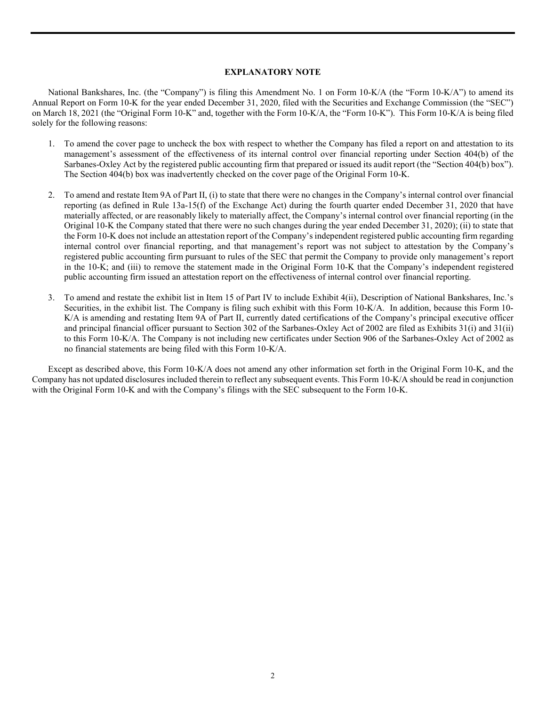## **EXPLANATORY NOTE**

National Bankshares, Inc. (the "Company") is filing this Amendment No. 1 on Form 10-K/A (the "Form 10-K/A") to amend its Annual Report on Form 10-K for the year ended December 31, 2020, filed with the Securities and Exchange Commission (the "SEC") on March 18, 2021 (the "Original Form 10-K" and, together with the Form 10-K/A, the "Form 10-K"). This Form 10-K/A is being filed solely for the following reasons:

- 1. To amend the cover page to uncheck the box with respect to whether the Company has filed a report on and attestation to its management's assessment of the effectiveness of its internal control over financial reporting under Section 404(b) of the Sarbanes-Oxley Act by the registered public accounting firm that prepared or issued its audit report (the "Section 404(b) box"). The Section 404(b) box was inadvertently checked on the cover page of the Original Form 10-K.
- 2. To amend and restate Item 9A of Part II, (i) to state that there were no changes in the Company's internal control over financial reporting (as defined in Rule 13a-15(f) of the Exchange Act) during the fourth quarter ended December 31, 2020 that have materially affected, or are reasonably likely to materially affect, the Company's internal control over financial reporting (in the Original 10-K the Company stated that there were no such changes during the year ended December 31, 2020); (ii) to state that the Form 10-K does not include an attestation report of the Company's independent registered public accounting firm regarding internal control over financial reporting, and that management's report was not subject to attestation by the Company's registered public accounting firm pursuant to rules of the SEC that permit the Company to provide only management's report in the 10-K; and (iii) to remove the statement made in the Original Form 10-K that the Company's independent registered public accounting firm issued an attestation report on the effectiveness of internal control over financial reporting.
- 3. To amend and restate the exhibit list in Item 15 of Part IV to include Exhibit 4(ii), Description of National Bankshares, Inc.'s Securities, in the exhibit list. The Company is filing such exhibit with this Form 10-K/A. In addition, because this Form 10- K/A is amending and restating Item 9A of Part II, currently dated certifications of the Company's principal executive officer and principal financial officer pursuant to Section 302 of the Sarbanes-Oxley Act of 2002 are filed as Exhibits 31(i) and 31(ii) to this Form 10-K/A. The Company is not including new certificates under Section 906 of the Sarbanes-Oxley Act of 2002 as no financial statements are being filed with this Form 10-K/A.

Except as described above, this Form 10-K/A does not amend any other information set forth in the Original Form 10-K, and the Company has not updated disclosures included therein to reflect any subsequent events. This Form 10-K/A should be read in conjunction with the Original Form 10-K and with the Company's filings with the SEC subsequent to the Form 10-K.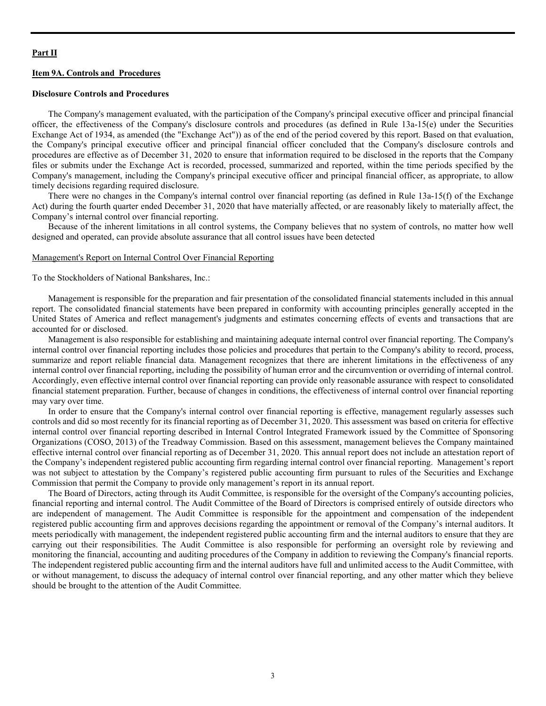## **Part II**

# **Item 9A. Controls and Procedures**

#### **Disclosure Controls and Procedures**

The Company's management evaluated, with the participation of the Company's principal executive officer and principal financial officer, the effectiveness of the Company's disclosure controls and procedures (as defined in Rule 13a-15(e) under the Securities Exchange Act of 1934, as amended (the "Exchange Act")) as of the end of the period covered by this report. Based on that evaluation, the Company's principal executive officer and principal financial officer concluded that the Company's disclosure controls and procedures are effective as of December 31, 2020 to ensure that information required to be disclosed in the reports that the Company files or submits under the Exchange Act is recorded, processed, summarized and reported, within the time periods specified by the Company's management, including the Company's principal executive officer and principal financial officer, as appropriate, to allow timely decisions regarding required disclosure.

There were no changes in the Company's internal control over financial reporting (as defined in Rule 13a-15(f) of the Exchange Act) during the fourth quarter ended December 31, 2020 that have materially affected, or are reasonably likely to materially affect, the Company's internal control over financial reporting.

Because of the inherent limitations in all control systems, the Company believes that no system of controls, no matter how well designed and operated, can provide absolute assurance that all control issues have been detected

#### Management's Report on Internal Control Over Financial Reporting

To the Stockholders of National Bankshares, Inc.:

Management is responsible for the preparation and fair presentation of the consolidated financial statements included in this annual report. The consolidated financial statements have been prepared in conformity with accounting principles generally accepted in the United States of America and reflect management's judgments and estimates concerning effects of events and transactions that are accounted for or disclosed.

Management is also responsible for establishing and maintaining adequate internal control over financial reporting. The Company's internal control over financial reporting includes those policies and procedures that pertain to the Company's ability to record, process, summarize and report reliable financial data. Management recognizes that there are inherent limitations in the effectiveness of any internal control over financial reporting, including the possibility of human error and the circumvention or overriding of internal control. Accordingly, even effective internal control over financial reporting can provide only reasonable assurance with respect to consolidated financial statement preparation. Further, because of changes in conditions, the effectiveness of internal control over financial reporting may vary over time.

In order to ensure that the Company's internal control over financial reporting is effective, management regularly assesses such controls and did so most recently for its financial reporting as of December 31, 2020. This assessment was based on criteria for effective internal control over financial reporting described in Internal Control Integrated Framework issued by the Committee of Sponsoring Organizations (COSO, 2013) of the Treadway Commission. Based on this assessment, management believes the Company maintained effective internal control over financial reporting as of December 31, 2020. This annual report does not include an attestation report of the Company's independent registered public accounting firm regarding internal control over financial reporting. Management's report was not subject to attestation by the Company's registered public accounting firm pursuant to rules of the Securities and Exchange Commission that permit the Company to provide only management's report in its annual report.

The Board of Directors, acting through its Audit Committee, is responsible for the oversight of the Company's accounting policies, financial reporting and internal control. The Audit Committee of the Board of Directors is comprised entirely of outside directors who are independent of management. The Audit Committee is responsible for the appointment and compensation of the independent registered public accounting firm and approves decisions regarding the appointment or removal of the Company's internal auditors. It meets periodically with management, the independent registered public accounting firm and the internal auditors to ensure that they are carrying out their responsibilities. The Audit Committee is also responsible for performing an oversight role by reviewing and monitoring the financial, accounting and auditing procedures of the Company in addition to reviewing the Company's financial reports. The independent registered public accounting firm and the internal auditors have full and unlimited access to the Audit Committee, with or without management, to discuss the adequacy of internal control over financial reporting, and any other matter which they believe should be brought to the attention of the Audit Committee.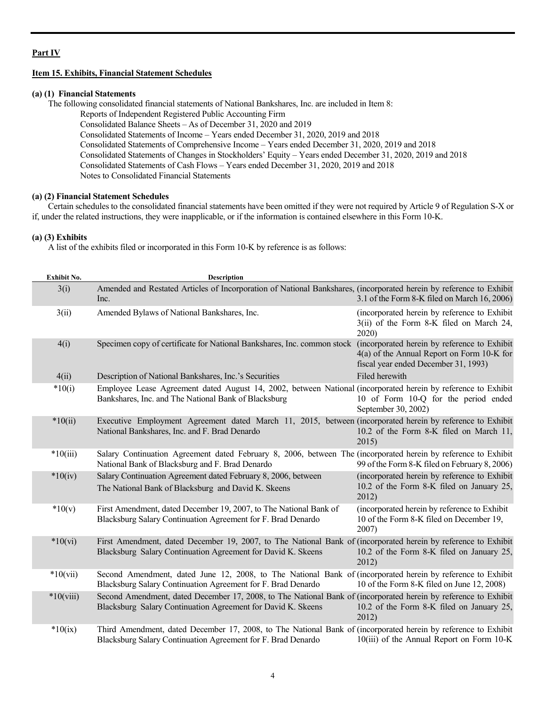# **Part IV**

# **Item 15. Exhibits, Financial Statement Schedules**

# **(a) (1) Financial Statements**

The following consolidated financial statements of National Bankshares, Inc. are included in Item 8:

Reports of Independent Registered Public Accounting Firm

Consolidated Balance Sheets – As of December 31, 2020 and 2019

Consolidated Statements of Income – Years ended December 31, 2020, 2019 and 2018

Consolidated Statements of Comprehensive Income – Years ended December 31, 2020, 2019 and 2018

Consolidated Statements of Changes in Stockholders' Equity – Years ended December 31, 2020, 2019 and 2018

Consolidated Statements of Cash Flows – Years ended December 31, 2020, 2019 and 2018

Notes to Consolidated Financial Statements

# **(a) (2) Financial Statement Schedules**

Certain schedules to the consolidated financial statements have been omitted if they were not required by Article 9 of Regulation S-X or if, under the related instructions, they were inapplicable, or if the information is contained elsewhere in this Form 10-K.

# **(a) (3) Exhibits**

A list of the exhibits filed or incorporated in this Form 10-K by reference is as follows:

| Exhibit No. | Description                                                                                                                                                                     |                                                                                                    |
|-------------|---------------------------------------------------------------------------------------------------------------------------------------------------------------------------------|----------------------------------------------------------------------------------------------------|
| 3(i)        | Amended and Restated Articles of Incorporation of National Bankshares, (incorporated herein by reference to Exhibit<br>Inc.                                                     | 3.1 of the Form 8-K filed on March 16, 2006)                                                       |
| 3(ii)       | Amended Bylaws of National Bankshares, Inc.                                                                                                                                     | (incorporated herein by reference to Exhibit<br>3(ii) of the Form 8-K filed on March 24,<br>2020)  |
| 4(i)        | Specimen copy of certificate for National Bankshares, Inc. common stock (incorporated herein by reference to Exhibit                                                            | 4(a) of the Annual Report on Form 10-K for<br>fiscal year ended December 31, 1993)                 |
| 4(ii)       | Description of National Bankshares, Inc.'s Securities                                                                                                                           | Filed herewith                                                                                     |
| $*10(i)$    | Employee Lease Agreement dated August 14, 2002, between National (incorporated herein by reference to Exhibit<br>Bankshares, Inc. and The National Bank of Blacksburg           | 10 of Form 10-Q for the period ended<br>September 30, 2002)                                        |
| $*10(ii)$   | Executive Employment Agreement dated March 11, 2015, between (incorporated herein by reference to Exhibit<br>National Bankshares, Inc. and F. Brad Denardo                      | 10.2 of the Form 8-K filed on March 11,<br>2015)                                                   |
| $*10(iii)$  | Salary Continuation Agreement dated February 8, 2006, between The (incorporated herein by reference to Exhibit<br>National Bank of Blacksburg and F. Brad Denardo               | 99 of the Form 8-K filed on February 8, 2006)                                                      |
| $*10(iv)$   | Salary Continuation Agreement dated February 8, 2006, between<br>The National Bank of Blacksburg and David K. Skeens                                                            | (incorporated herein by reference to Exhibit<br>10.2 of the Form 8-K filed on January 25,<br>2012) |
| $*10(v)$    | First Amendment, dated December 19, 2007, to The National Bank of<br>Blacksburg Salary Continuation Agreement for F. Brad Denardo                                               | (incorporated herein by reference to Exhibit<br>10 of the Form 8-K filed on December 19,<br>2007)  |
| $*10(vi)$   | First Amendment, dated December 19, 2007, to The National Bank of (incorporated herein by reference to Exhibit<br>Blacksburg Salary Continuation Agreement for David K. Skeens  | 10.2 of the Form 8-K filed on January 25,<br>2012)                                                 |
| $*10(vii)$  | Second Amendment, dated June 12, 2008, to The National Bank of (incorporated herein by reference to Exhibit<br>Blacksburg Salary Continuation Agreement for F. Brad Denardo     | 10 of the Form 8-K filed on June 12, 2008)                                                         |
| $*10(viii)$ | Second Amendment, dated December 17, 2008, to The National Bank of (incorporated herein by reference to Exhibit<br>Blacksburg Salary Continuation Agreement for David K. Skeens | 10.2 of the Form 8-K filed on January 25,<br>2012)                                                 |
| $*10(ix)$   | Third Amendment, dated December 17, 2008, to The National Bank of (incorporated herein by reference to Exhibit<br>Blacksburg Salary Continuation Agreement for F. Brad Denardo  | $10(iii)$ of the Annual Report on Form $10-K$                                                      |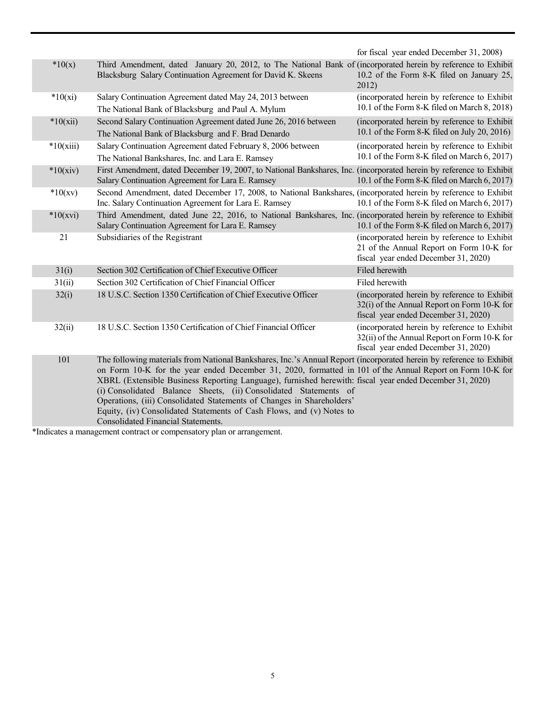|             |                                                                                                                                                                                                                                                                                                                                                                                                                                                                                                                                                                                                        | for fiscal year ended December 31, 2008)                                                                                             |
|-------------|--------------------------------------------------------------------------------------------------------------------------------------------------------------------------------------------------------------------------------------------------------------------------------------------------------------------------------------------------------------------------------------------------------------------------------------------------------------------------------------------------------------------------------------------------------------------------------------------------------|--------------------------------------------------------------------------------------------------------------------------------------|
| $*10(x)$    | Third Amendment, dated January 20, 2012, to The National Bank of (incorporated herein by reference to Exhibit<br>Blacksburg Salary Continuation Agreement for David K. Skeens                                                                                                                                                                                                                                                                                                                                                                                                                          | 10.2 of the Form 8-K filed on January 25,<br>2012)                                                                                   |
| $*10(xi)$   | Salary Continuation Agreement dated May 24, 2013 between<br>The National Bank of Blacksburg and Paul A. Mylum                                                                                                                                                                                                                                                                                                                                                                                                                                                                                          | (incorporated herein by reference to Exhibit<br>10.1 of the Form 8-K filed on March 8, 2018)                                         |
| $*10(xii)$  | Second Salary Continuation Agreement dated June 26, 2016 between<br>The National Bank of Blacksburg and F. Brad Denardo                                                                                                                                                                                                                                                                                                                                                                                                                                                                                | (incorporated herein by reference to Exhibit<br>10.1 of the Form 8-K filed on July 20, 2016)                                         |
| $*10(xiii)$ | Salary Continuation Agreement dated February 8, 2006 between<br>The National Bankshares, Inc. and Lara E. Ramsey                                                                                                                                                                                                                                                                                                                                                                                                                                                                                       | (incorporated herein by reference to Exhibit<br>10.1 of the Form 8-K filed on March 6, 2017)                                         |
| $*10(xiv)$  | First Amendment, dated December 19, 2007, to National Bankshares, Inc. (incorporated herein by reference to Exhibit<br>Salary Continuation Agreement for Lara E. Ramsey                                                                                                                                                                                                                                                                                                                                                                                                                                | 10.1 of the Form 8-K filed on March 6, 2017)                                                                                         |
| $*10(xv)$   | Second Amendment, dated December 17, 2008, to National Bankshares, (incorporated herein by reference to Exhibit<br>Inc. Salary Continuation Agreement for Lara E. Ramsey                                                                                                                                                                                                                                                                                                                                                                                                                               | 10.1 of the Form 8-K filed on March 6, 2017)                                                                                         |
| $*10(xvi)$  | Third Amendment, dated June 22, 2016, to National Bankshares, Inc. (incorporated herein by reference to Exhibit<br>Salary Continuation Agreement for Lara E. Ramsey                                                                                                                                                                                                                                                                                                                                                                                                                                    | 10.1 of the Form 8-K filed on March 6, 2017)                                                                                         |
| 21          | Subsidiaries of the Registrant                                                                                                                                                                                                                                                                                                                                                                                                                                                                                                                                                                         | (incorporated herein by reference to Exhibit<br>21 of the Annual Report on Form 10-K for<br>fiscal year ended December 31, 2020)     |
| 31(i)       | Section 302 Certification of Chief Executive Officer                                                                                                                                                                                                                                                                                                                                                                                                                                                                                                                                                   | Filed herewith                                                                                                                       |
| 31(ii)      | Section 302 Certification of Chief Financial Officer                                                                                                                                                                                                                                                                                                                                                                                                                                                                                                                                                   | Filed herewith                                                                                                                       |
| 32(i)       | 18 U.S.C. Section 1350 Certification of Chief Executive Officer                                                                                                                                                                                                                                                                                                                                                                                                                                                                                                                                        | (incorporated herein by reference to Exhibit<br>32(i) of the Annual Report on Form 10-K for<br>fiscal year ended December 31, 2020)  |
| 32(ii)      | 18 U.S.C. Section 1350 Certification of Chief Financial Officer                                                                                                                                                                                                                                                                                                                                                                                                                                                                                                                                        | (incorporated herein by reference to Exhibit<br>32(ii) of the Annual Report on Form 10-K for<br>fiscal year ended December 31, 2020) |
| 101         | The following materials from National Bankshares, Inc.'s Annual Report (incorporated herein by reference to Exhibit<br>on Form 10-K for the year ended December 31, 2020, formatted in 101 of the Annual Report on Form 10-K for<br>XBRL (Extensible Business Reporting Language), furnished herewith: fiscal year ended December 31, 2020)<br>(i) Consolidated Balance Sheets, (ii) Consolidated Statements of<br>Operations, (iii) Consolidated Statements of Changes in Shareholders'<br>Equity, (iv) Consolidated Statements of Cash Flows, and (v) Notes to<br>Consolidated Financial Statements. |                                                                                                                                      |

\*Indicates a management contract or compensatory plan or arrangement.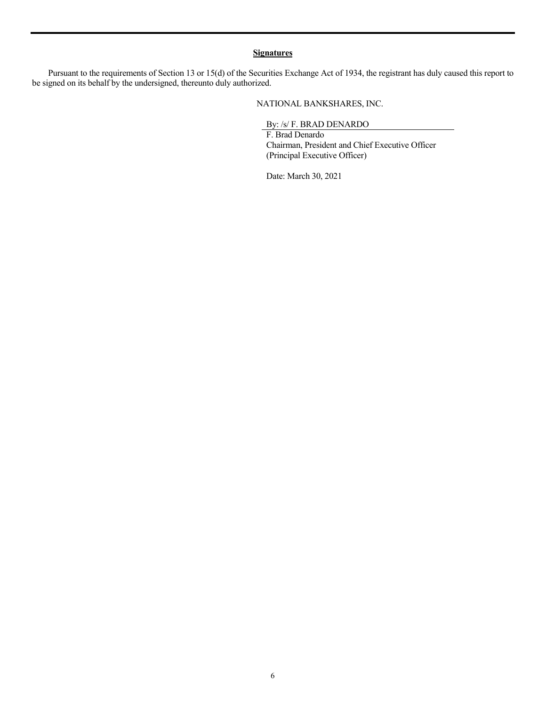# **Signatures**

Pursuant to the requirements of Section 13 or 15(d) of the Securities Exchange Act of 1934, the registrant has duly caused this report to be signed on its behalf by the undersigned, thereunto duly authorized.

NATIONAL BANKSHARES, INC.

By: /s/ F. BRAD DENARDO

F. Brad Denardo Chairman, President and Chief Executive Officer (Principal Executive Officer)

Date: March 30, 2021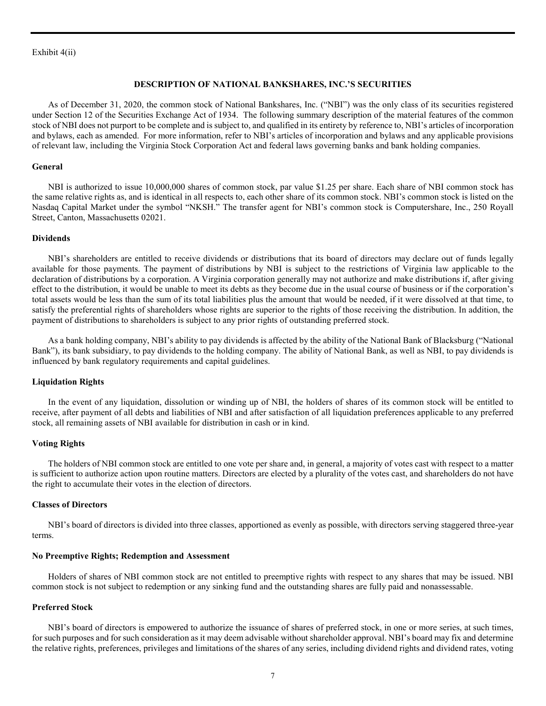#### Exhibit 4(ii)

#### **DESCRIPTION OF NATIONAL BANKSHARES, INC.'S SECURITIES**

As of December 31, 2020, the common stock of National Bankshares, Inc. ("NBI") was the only class of its securities registered under Section 12 of the Securities Exchange Act of 1934. The following summary description of the material features of the common stock of NBI does not purport to be complete and is subject to, and qualified in its entirety by reference to, NBI's articles of incorporation and bylaws, each as amended. For more information, refer to NBI's articles of incorporation and bylaws and any applicable provisions of relevant law, including the Virginia Stock Corporation Act and federal laws governing banks and bank holding companies.

#### **General**

NBI is authorized to issue 10,000,000 shares of common stock, par value \$1.25 per share. Each share of NBI common stock has the same relative rights as, and is identical in all respects to, each other share of its common stock. NBI's common stock is listed on the Nasdaq Capital Market under the symbol "NKSH." The transfer agent for NBI's common stock is Computershare, Inc., 250 Royall Street, Canton, Massachusetts 02021.

#### **Dividends**

NBI's shareholders are entitled to receive dividends or distributions that its board of directors may declare out of funds legally available for those payments. The payment of distributions by NBI is subject to the restrictions of Virginia law applicable to the declaration of distributions by a corporation. A Virginia corporation generally may not authorize and make distributions if, after giving effect to the distribution, it would be unable to meet its debts as they become due in the usual course of business or if the corporation's total assets would be less than the sum of its total liabilities plus the amount that would be needed, if it were dissolved at that time, to satisfy the preferential rights of shareholders whose rights are superior to the rights of those receiving the distribution. In addition, the payment of distributions to shareholders is subject to any prior rights of outstanding preferred stock.

As a bank holding company, NBI's ability to pay dividends is affected by the ability of the National Bank of Blacksburg ("National Bank"), its bank subsidiary, to pay dividends to the holding company. The ability of National Bank, as well as NBI, to pay dividends is influenced by bank regulatory requirements and capital guidelines.

#### **Liquidation Rights**

In the event of any liquidation, dissolution or winding up of NBI, the holders of shares of its common stock will be entitled to receive, after payment of all debts and liabilities of NBI and after satisfaction of all liquidation preferences applicable to any preferred stock, all remaining assets of NBI available for distribution in cash or in kind.

#### **Voting Rights**

The holders of NBI common stock are entitled to one vote per share and, in general, a majority of votes cast with respect to a matter is sufficient to authorize action upon routine matters. Directors are elected by a plurality of the votes cast, and shareholders do not have the right to accumulate their votes in the election of directors.

# **Classes of Directors**

NBI's board of directors is divided into three classes, apportioned as evenly as possible, with directors serving staggered three-year terms.

#### **No Preemptive Rights; Redemption and Assessment**

Holders of shares of NBI common stock are not entitled to preemptive rights with respect to any shares that may be issued. NBI common stock is not subject to redemption or any sinking fund and the outstanding shares are fully paid and nonassessable.

# **Preferred Stock**

NBI's board of directors is empowered to authorize the issuance of shares of preferred stock, in one or more series, at such times, for such purposes and for such consideration as it may deem advisable without shareholder approval. NBI's board may fix and determine the relative rights, preferences, privileges and limitations of the shares of any series, including dividend rights and dividend rates, voting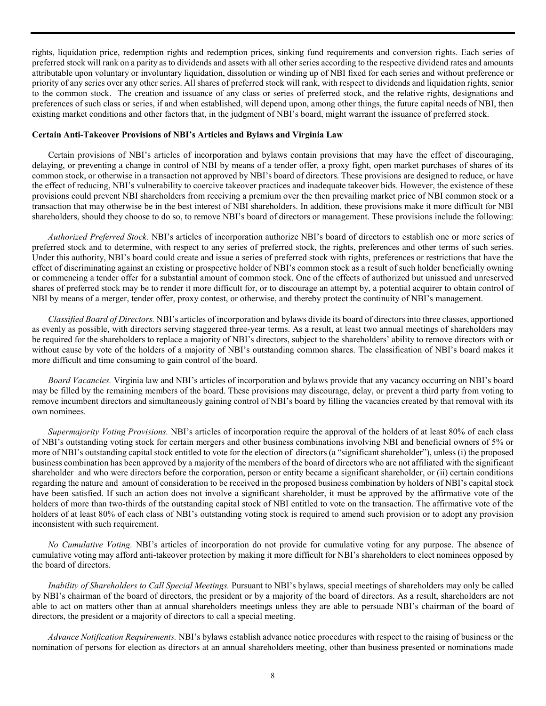rights, liquidation price, redemption rights and redemption prices, sinking fund requirements and conversion rights. Each series of preferred stock will rank on a parity as to dividends and assets with all other series according to the respective dividend rates and amounts attributable upon voluntary or involuntary liquidation, dissolution or winding up of NBI fixed for each series and without preference or priority of any series over any other series. All shares of preferred stock will rank, with respect to dividends and liquidation rights, senior to the common stock. The creation and issuance of any class or series of preferred stock, and the relative rights, designations and preferences of such class or series, if and when established, will depend upon, among other things, the future capital needs of NBI, then existing market conditions and other factors that, in the judgment of NBI's board, might warrant the issuance of preferred stock.

### **Certain Anti-Takeover Provisions of NBI's Articles and Bylaws and Virginia Law**

Certain provisions of NBI's articles of incorporation and bylaws contain provisions that may have the effect of discouraging, delaying, or preventing a change in control of NBI by means of a tender offer, a proxy fight, open market purchases of shares of its common stock, or otherwise in a transaction not approved by NBI's board of directors. These provisions are designed to reduce, or have the effect of reducing, NBI's vulnerability to coercive takeover practices and inadequate takeover bids. However, the existence of these provisions could prevent NBI shareholders from receiving a premium over the then prevailing market price of NBI common stock or a transaction that may otherwise be in the best interest of NBI shareholders. In addition, these provisions make it more difficult for NBI shareholders, should they choose to do so, to remove NBI's board of directors or management. These provisions include the following:

*Authorized Preferred Stock.* NBI's articles of incorporation authorize NBI's board of directors to establish one or more series of preferred stock and to determine, with respect to any series of preferred stock, the rights, preferences and other terms of such series. Under this authority, NBI's board could create and issue a series of preferred stock with rights, preferences or restrictions that have the effect of discriminating against an existing or prospective holder of NBI's common stock as a result of such holder beneficially owning or commencing a tender offer for a substantial amount of common stock. One of the effects of authorized but unissued and unreserved shares of preferred stock may be to render it more difficult for, or to discourage an attempt by, a potential acquirer to obtain control of NBI by means of a merger, tender offer, proxy contest, or otherwise, and thereby protect the continuity of NBI's management.

*Classified Board of Directors.* NBI's articles of incorporation and bylaws divide its board of directors into three classes, apportioned as evenly as possible, with directors serving staggered three-year terms. As a result, at least two annual meetings of shareholders may be required for the shareholders to replace a majority of NBI's directors, subject to the shareholders' ability to remove directors with or without cause by vote of the holders of a majority of NBI's outstanding common shares. The classification of NBI's board makes it more difficult and time consuming to gain control of the board.

*Board Vacancies.* Virginia law and NBI's articles of incorporation and bylaws provide that any vacancy occurring on NBI's board may be filled by the remaining members of the board. These provisions may discourage, delay, or prevent a third party from voting to remove incumbent directors and simultaneously gaining control of NBI's board by filling the vacancies created by that removal with its own nominees.

*Supermajority Voting Provisions.* NBI's articles of incorporation require the approval of the holders of at least 80% of each class of NBI's outstanding voting stock for certain mergers and other business combinations involving NBI and beneficial owners of 5% or more of NBI's outstanding capital stock entitled to vote for the election of directors (a "significant shareholder"), unless (i) the proposed business combination has been approved by a majority of the members of the board of directors who are not affiliated with the significant shareholder and who were directors before the corporation, person or entity became a significant shareholder, or (ii) certain conditions regarding the nature and amount of consideration to be received in the proposed business combination by holders of NBI's capital stock have been satisfied. If such an action does not involve a significant shareholder, it must be approved by the affirmative vote of the holders of more than two-thirds of the outstanding capital stock of NBI entitled to vote on the transaction. The affirmative vote of the holders of at least 80% of each class of NBI's outstanding voting stock is required to amend such provision or to adopt any provision inconsistent with such requirement.

*No Cumulative Voting.* NBI's articles of incorporation do not provide for cumulative voting for any purpose. The absence of cumulative voting may afford anti-takeover protection by making it more difficult for NBI's shareholders to elect nominees opposed by the board of directors.

*Inability of Shareholders to Call Special Meetings.* Pursuant to NBI's bylaws, special meetings of shareholders may only be called by NBI's chairman of the board of directors, the president or by a majority of the board of directors. As a result, shareholders are not able to act on matters other than at annual shareholders meetings unless they are able to persuade NBI's chairman of the board of directors, the president or a majority of directors to call a special meeting.

*Advance Notification Requirements.* NBI's bylaws establish advance notice procedures with respect to the raising of business or the nomination of persons for election as directors at an annual shareholders meeting, other than business presented or nominations made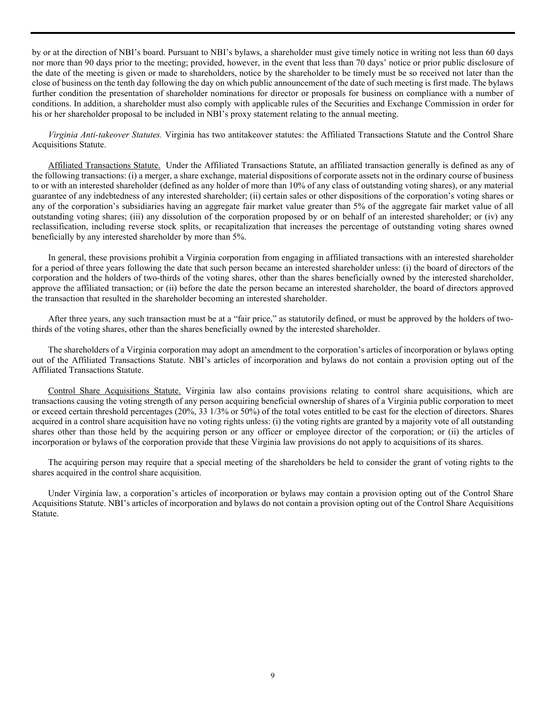by or at the direction of NBI's board. Pursuant to NBI's bylaws, a shareholder must give timely notice in writing not less than 60 days nor more than 90 days prior to the meeting; provided, however, in the event that less than 70 days' notice or prior public disclosure of the date of the meeting is given or made to shareholders, notice by the shareholder to be timely must be so received not later than the close of business on the tenth day following the day on which public announcement of the date of such meeting is first made. The bylaws further condition the presentation of shareholder nominations for director or proposals for business on compliance with a number of conditions. In addition, a shareholder must also comply with applicable rules of the Securities and Exchange Commission in order for his or her shareholder proposal to be included in NBI's proxy statement relating to the annual meeting.

*Virginia Anti-takeover Statutes.* Virginia has two antitakeover statutes: the Affiliated Transactions Statute and the Control Share Acquisitions Statute.

Affiliated Transactions Statute. Under the Affiliated Transactions Statute, an affiliated transaction generally is defined as any of the following transactions: (i) a merger, a share exchange, material dispositions of corporate assets not in the ordinary course of business to or with an interested shareholder (defined as any holder of more than 10% of any class of outstanding voting shares), or any material guarantee of any indebtedness of any interested shareholder; (ii) certain sales or other dispositions of the corporation's voting shares or any of the corporation's subsidiaries having an aggregate fair market value greater than 5% of the aggregate fair market value of all outstanding voting shares; (iii) any dissolution of the corporation proposed by or on behalf of an interested shareholder; or (iv) any reclassification, including reverse stock splits, or recapitalization that increases the percentage of outstanding voting shares owned beneficially by any interested shareholder by more than 5%.

In general, these provisions prohibit a Virginia corporation from engaging in affiliated transactions with an interested shareholder for a period of three years following the date that such person became an interested shareholder unless: (i) the board of directors of the corporation and the holders of two-thirds of the voting shares, other than the shares beneficially owned by the interested shareholder, approve the affiliated transaction; or (ii) before the date the person became an interested shareholder, the board of directors approved the transaction that resulted in the shareholder becoming an interested shareholder.

After three years, any such transaction must be at a "fair price," as statutorily defined, or must be approved by the holders of twothirds of the voting shares, other than the shares beneficially owned by the interested shareholder.

The shareholders of a Virginia corporation may adopt an amendment to the corporation's articles of incorporation or bylaws opting out of the Affiliated Transactions Statute. NBI's articles of incorporation and bylaws do not contain a provision opting out of the Affiliated Transactions Statute.

Control Share Acquisitions Statute. Virginia law also contains provisions relating to control share acquisitions, which are transactions causing the voting strength of any person acquiring beneficial ownership of shares of a Virginia public corporation to meet or exceed certain threshold percentages (20%, 33 1/3% or 50%) of the total votes entitled to be cast for the election of directors. Shares acquired in a control share acquisition have no voting rights unless: (i) the voting rights are granted by a majority vote of all outstanding shares other than those held by the acquiring person or any officer or employee director of the corporation; or (ii) the articles of incorporation or bylaws of the corporation provide that these Virginia law provisions do not apply to acquisitions of its shares.

The acquiring person may require that a special meeting of the shareholders be held to consider the grant of voting rights to the shares acquired in the control share acquisition.

Under Virginia law, a corporation's articles of incorporation or bylaws may contain a provision opting out of the Control Share Acquisitions Statute. NBI's articles of incorporation and bylaws do not contain a provision opting out of the Control Share Acquisitions Statute.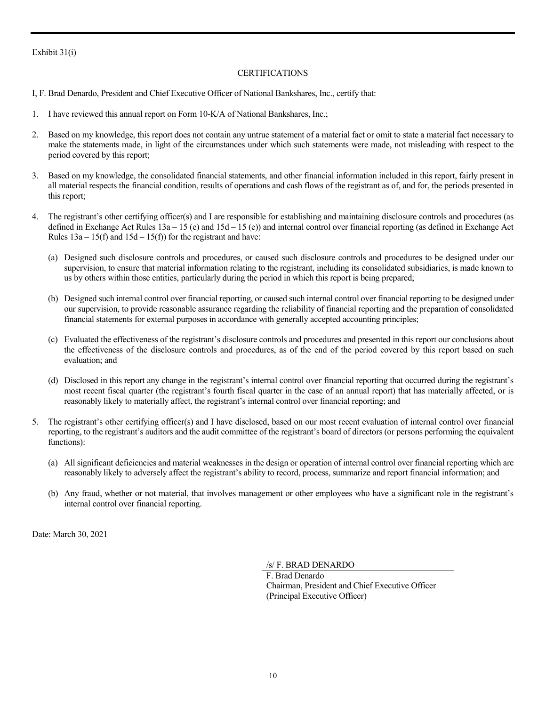# Exhibit 31(i)

# CERTIFICATIONS

- I, F. Brad Denardo, President and Chief Executive Officer of National Bankshares, Inc., certify that:
- 1. I have reviewed this annual report on Form 10-K/A of National Bankshares, Inc.;
- 2. Based on my knowledge, this report does not contain any untrue statement of a material fact or omit to state a material fact necessary to make the statements made, in light of the circumstances under which such statements were made, not misleading with respect to the period covered by this report;
- 3. Based on my knowledge, the consolidated financial statements, and other financial information included in this report, fairly present in all material respects the financial condition, results of operations and cash flows of the registrant as of, and for, the periods presented in this report;
- 4. The registrant's other certifying officer(s) and I are responsible for establishing and maintaining disclosure controls and procedures (as defined in Exchange Act Rules 13a – 15 (e) and 15d – 15 (e)) and internal control over financial reporting (as defined in Exchange Act Rules  $13a - 15(f)$  and  $15d - 15(f)$  for the registrant and have:
	- (a) Designed such disclosure controls and procedures, or caused such disclosure controls and procedures to be designed under our supervision, to ensure that material information relating to the registrant, including its consolidated subsidiaries, is made known to us by others within those entities, particularly during the period in which this report is being prepared;
	- (b) Designed such internal control over financial reporting, or caused such internal control over financial reporting to be designed under our supervision, to provide reasonable assurance regarding the reliability of financial reporting and the preparation of consolidated financial statements for external purposes in accordance with generally accepted accounting principles;
	- (c) Evaluated the effectiveness of the registrant's disclosure controls and procedures and presented in this report our conclusions about the effectiveness of the disclosure controls and procedures, as of the end of the period covered by this report based on such evaluation; and
	- (d) Disclosed in this report any change in the registrant's internal control over financial reporting that occurred during the registrant's most recent fiscal quarter (the registrant's fourth fiscal quarter in the case of an annual report) that has materially affected, or is reasonably likely to materially affect, the registrant's internal control over financial reporting; and
- 5. The registrant's other certifying officer(s) and I have disclosed, based on our most recent evaluation of internal control over financial reporting, to the registrant's auditors and the audit committee of the registrant's board of directors (or persons performing the equivalent functions):
	- (a) All significant deficiencies and material weaknesses in the design or operation of internal control over financial reporting which are reasonably likely to adversely affect the registrant's ability to record, process, summarize and report financial information; and
	- (b) Any fraud, whether or not material, that involves management or other employees who have a significant role in the registrant's internal control over financial reporting.

Date: March 30, 2021

/s/ F. BRAD DENARDO

F. Brad Denardo Chairman, President and Chief Executive Officer (Principal Executive Officer)